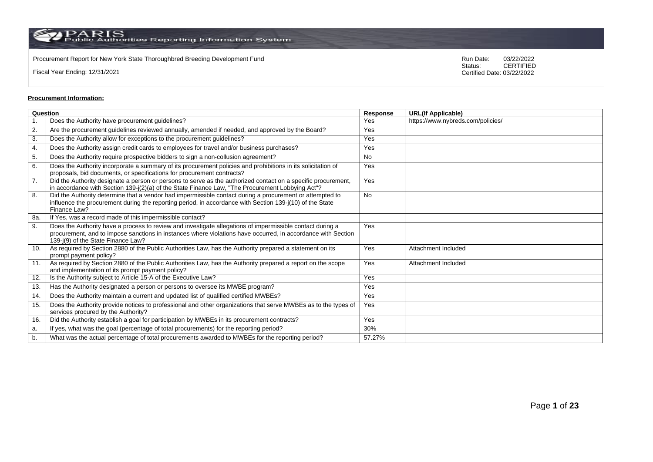Procurement Report for New York State Thoroughbred Breeding Development Fund<br>
Status:
CERTIFIED

Fiscal Year Ending: 12/31/2021

CERTIFIED Certified Date: 03/22/2022

# **Procurement Information:**

| Question         |                                                                                                                                                                                                                                                                 | <b>Response</b> | <b>URL(If Applicable)</b>         |
|------------------|-----------------------------------------------------------------------------------------------------------------------------------------------------------------------------------------------------------------------------------------------------------------|-----------------|-----------------------------------|
|                  | Does the Authority have procurement guidelines?                                                                                                                                                                                                                 | <b>Yes</b>      | https://www.nybreds.com/policies/ |
| 2.               | Are the procurement guidelines reviewed annually, amended if needed, and approved by the Board?                                                                                                                                                                 | Yes             |                                   |
| 3.               | Does the Authority allow for exceptions to the procurement guidelines?                                                                                                                                                                                          | Yes             |                                   |
| 4.               | Does the Authority assign credit cards to employees for travel and/or business purchases?                                                                                                                                                                       | Yes             |                                   |
| 5.               | Does the Authority require prospective bidders to sign a non-collusion agreement?                                                                                                                                                                               | <b>No</b>       |                                   |
| 6.               | Does the Authority incorporate a summary of its procurement policies and prohibitions in its solicitation of<br>proposals, bid documents, or specifications for procurement contracts?                                                                          | Yes             |                                   |
| $\overline{7}$ . | Did the Authority designate a person or persons to serve as the authorized contact on a specific procurement,<br>in accordance with Section 139-j(2)(a) of the State Finance Law, "The Procurement Lobbying Act"?                                               | Yes             |                                   |
| 8.               | Did the Authority determine that a vendor had impermissible contact during a procurement or attempted to<br>influence the procurement during the reporting period, in accordance with Section 139-j(10) of the State<br>Finance Law?                            | <b>No</b>       |                                   |
| 8a.              | If Yes, was a record made of this impermissible contact?                                                                                                                                                                                                        |                 |                                   |
| 9.               | Does the Authority have a process to review and investigate allegations of impermissible contact during a<br>procurement, and to impose sanctions in instances where violations have occurred, in accordance with Section<br>139-j(9) of the State Finance Law? | Yes             |                                   |
| 10.              | As required by Section 2880 of the Public Authorities Law, has the Authority prepared a statement on its<br>prompt payment policy?                                                                                                                              | Yes             | Attachment Included               |
| 11.              | As required by Section 2880 of the Public Authorities Law, has the Authority prepared a report on the scope<br>and implementation of its prompt payment policy?                                                                                                 | Yes             | Attachment Included               |
| 12.              | Is the Authority subject to Article 15-A of the Executive Law?                                                                                                                                                                                                  | Yes             |                                   |
| 13.              | Has the Authority designated a person or persons to oversee its MWBE program?                                                                                                                                                                                   | Yes             |                                   |
| 14.              | Does the Authority maintain a current and updated list of qualified certified MWBEs?                                                                                                                                                                            | Yes             |                                   |
| 15.              | Does the Authority provide notices to professional and other organizations that serve MWBEs as to the types of<br>services procured by the Authority?                                                                                                           | Yes             |                                   |
| 16.              | Did the Authority establish a goal for participation by MWBEs in its procurement contracts?                                                                                                                                                                     | Yes             |                                   |
| a.               | If yes, what was the goal (percentage of total procurements) for the reporting period?                                                                                                                                                                          | 30%             |                                   |
| b.               | What was the actual percentage of total procurements awarded to MWBEs for the reporting period?                                                                                                                                                                 | 57.27%          |                                   |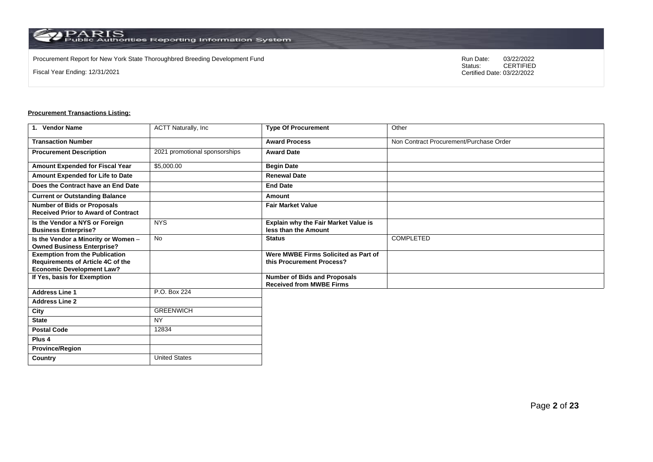$\operatorname{PARIS}_{\text{Public Authorities}}$  Reporting Information System

Procurement Report for New York State Thoroughbred Breeding Development Fund<br>
Status:
CERTIFIED

Fiscal Year Ending: 12/31/2021

CERTIFIED Certified Date: 03/22/2022

| 1. Vendor Name                                                                                                 | <b>ACTT Naturally, Inc.</b>   | <b>Type Of Procurement</b>                                             | Other                                   |
|----------------------------------------------------------------------------------------------------------------|-------------------------------|------------------------------------------------------------------------|-----------------------------------------|
| <b>Transaction Number</b>                                                                                      |                               | <b>Award Process</b>                                                   | Non Contract Procurement/Purchase Order |
| <b>Procurement Description</b>                                                                                 | 2021 promotional sponsorships | <b>Award Date</b>                                                      |                                         |
| Amount Expended for Fiscal Year                                                                                | \$5,000.00                    | <b>Begin Date</b>                                                      |                                         |
| Amount Expended for Life to Date                                                                               |                               | <b>Renewal Date</b>                                                    |                                         |
| Does the Contract have an End Date                                                                             |                               | <b>End Date</b>                                                        |                                         |
| <b>Current or Outstanding Balance</b>                                                                          |                               | Amount                                                                 |                                         |
| <b>Number of Bids or Proposals</b><br><b>Received Prior to Award of Contract</b>                               |                               | <b>Fair Market Value</b>                                               |                                         |
| Is the Vendor a NYS or Foreign<br><b>Business Enterprise?</b>                                                  | <b>NYS</b>                    | Explain why the Fair Market Value is<br>less than the Amount           |                                         |
| Is the Vendor a Minority or Women -<br><b>Owned Business Enterprise?</b>                                       | <b>No</b>                     | <b>Status</b>                                                          | <b>COMPLETED</b>                        |
| <b>Exemption from the Publication</b><br>Requirements of Article 4C of the<br><b>Economic Development Law?</b> |                               | Were MWBE Firms Solicited as Part of<br>this Procurement Process?      |                                         |
| If Yes, basis for Exemption                                                                                    |                               | <b>Number of Bids and Proposals</b><br><b>Received from MWBE Firms</b> |                                         |
| <b>Address Line 1</b>                                                                                          | P.O. Box 224                  |                                                                        |                                         |
| <b>Address Line 2</b>                                                                                          |                               |                                                                        |                                         |
| City                                                                                                           | <b>GREENWICH</b>              |                                                                        |                                         |
| <b>State</b>                                                                                                   | <b>NY</b>                     |                                                                        |                                         |
| <b>Postal Code</b>                                                                                             | 12834                         |                                                                        |                                         |
| Plus <sub>4</sub>                                                                                              |                               |                                                                        |                                         |
| <b>Province/Region</b>                                                                                         |                               |                                                                        |                                         |
| Country                                                                                                        | <b>United States</b>          |                                                                        |                                         |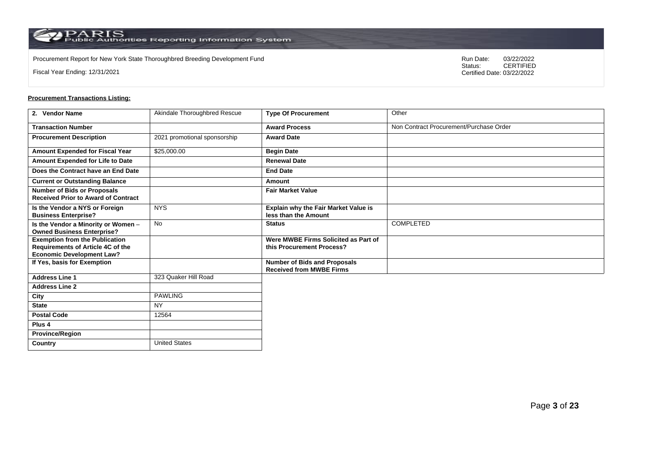Procurement Report for New York State Thoroughbred Breeding Development Fund<br>
Status:
CERTIFIED

Fiscal Year Ending: 12/31/2021

CERTIFIED Certified Date: 03/22/2022

| 2. Vendor Name                                                                                                 | Akindale Thoroughbred Rescue | <b>Type Of Procurement</b>                                        | Other                                   |
|----------------------------------------------------------------------------------------------------------------|------------------------------|-------------------------------------------------------------------|-----------------------------------------|
| <b>Transaction Number</b>                                                                                      |                              | <b>Award Process</b>                                              | Non Contract Procurement/Purchase Order |
| <b>Procurement Description</b>                                                                                 | 2021 promotional sponsorship | <b>Award Date</b>                                                 |                                         |
| Amount Expended for Fiscal Year                                                                                | \$25,000.00                  | <b>Begin Date</b>                                                 |                                         |
| Amount Expended for Life to Date                                                                               |                              | <b>Renewal Date</b>                                               |                                         |
| Does the Contract have an End Date                                                                             |                              | <b>End Date</b>                                                   |                                         |
| <b>Current or Outstanding Balance</b>                                                                          |                              | Amount                                                            |                                         |
| <b>Number of Bids or Proposals</b><br><b>Received Prior to Award of Contract</b>                               |                              | <b>Fair Market Value</b>                                          |                                         |
| Is the Vendor a NYS or Foreign<br><b>Business Enterprise?</b>                                                  | <b>NYS</b>                   | Explain why the Fair Market Value is<br>less than the Amount      |                                         |
| Is the Vendor a Minority or Women -<br><b>Owned Business Enterprise?</b>                                       | No                           | <b>Status</b>                                                     | COMPLETED                               |
| <b>Exemption from the Publication</b><br>Requirements of Article 4C of the<br><b>Economic Development Law?</b> |                              | Were MWBE Firms Solicited as Part of<br>this Procurement Process? |                                         |
| If Yes, basis for Exemption                                                                                    |                              | Number of Bids and Proposals<br><b>Received from MWBE Firms</b>   |                                         |
| <b>Address Line 1</b>                                                                                          | 323 Quaker Hill Road         |                                                                   |                                         |
| <b>Address Line 2</b>                                                                                          |                              |                                                                   |                                         |
| City                                                                                                           | <b>PAWLING</b>               |                                                                   |                                         |
| <b>State</b>                                                                                                   | <b>NY</b>                    |                                                                   |                                         |
| <b>Postal Code</b>                                                                                             | 12564                        |                                                                   |                                         |
| Plus 4                                                                                                         |                              |                                                                   |                                         |
| <b>Province/Region</b>                                                                                         |                              |                                                                   |                                         |
| Country                                                                                                        | <b>United States</b>         |                                                                   |                                         |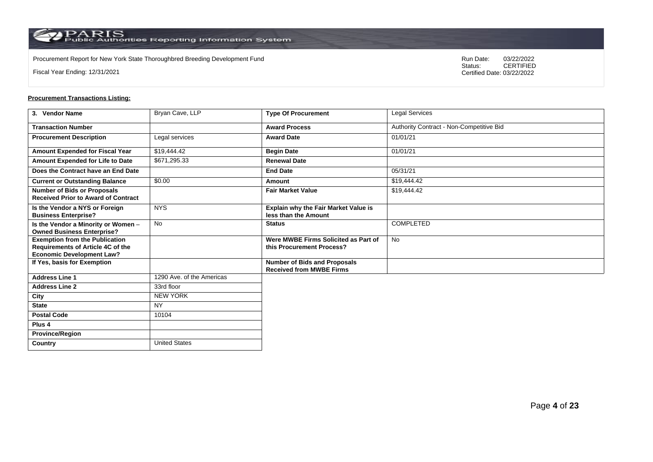Procurement Report for New York State Thoroughbred Breeding Development Fund<br>
Status:
CERTIFIED

Fiscal Year Ending: 12/31/2021

CERTIFIED Certified Date: 03/22/2022

| 3. Vendor Name                                                                                                 | Bryan Cave, LLP           | <b>Type Of Procurement</b>                                          | <b>Legal Services</b>                    |
|----------------------------------------------------------------------------------------------------------------|---------------------------|---------------------------------------------------------------------|------------------------------------------|
| <b>Transaction Number</b>                                                                                      |                           | <b>Award Process</b>                                                | Authority Contract - Non-Competitive Bid |
| <b>Procurement Description</b>                                                                                 | Legal services            | <b>Award Date</b>                                                   | 01/01/21                                 |
| Amount Expended for Fiscal Year                                                                                | \$19,444.42               | <b>Begin Date</b>                                                   | 01/01/21                                 |
| Amount Expended for Life to Date                                                                               | \$671,295.33              | <b>Renewal Date</b>                                                 |                                          |
| Does the Contract have an End Date                                                                             |                           | <b>End Date</b>                                                     | 05/31/21                                 |
| <b>Current or Outstanding Balance</b>                                                                          | \$0.00                    | Amount                                                              | \$19,444.42                              |
| <b>Number of Bids or Proposals</b><br><b>Received Prior to Award of Contract</b>                               |                           | <b>Fair Market Value</b>                                            | \$19,444.42                              |
| Is the Vendor a NYS or Foreign<br><b>Business Enterprise?</b>                                                  | <b>NYS</b>                | <b>Explain why the Fair Market Value is</b><br>less than the Amount |                                          |
| Is the Vendor a Minority or Women -<br><b>Owned Business Enterprise?</b>                                       | No                        | <b>Status</b>                                                       | COMPLETED                                |
| <b>Exemption from the Publication</b><br>Requirements of Article 4C of the<br><b>Economic Development Law?</b> |                           | Were MWBE Firms Solicited as Part of<br>this Procurement Process?   | No                                       |
| If Yes, basis for Exemption                                                                                    |                           | Number of Bids and Proposals<br><b>Received from MWBE Firms</b>     |                                          |
| <b>Address Line 1</b>                                                                                          | 1290 Ave. of the Americas |                                                                     |                                          |
| <b>Address Line 2</b>                                                                                          | 33rd floor                |                                                                     |                                          |
| City                                                                                                           | <b>NEW YORK</b>           |                                                                     |                                          |
| <b>State</b>                                                                                                   | <b>NY</b>                 |                                                                     |                                          |
| <b>Postal Code</b>                                                                                             | 10104                     |                                                                     |                                          |
| Plus 4                                                                                                         |                           |                                                                     |                                          |
| <b>Province/Region</b>                                                                                         |                           |                                                                     |                                          |
| Country                                                                                                        | <b>United States</b>      |                                                                     |                                          |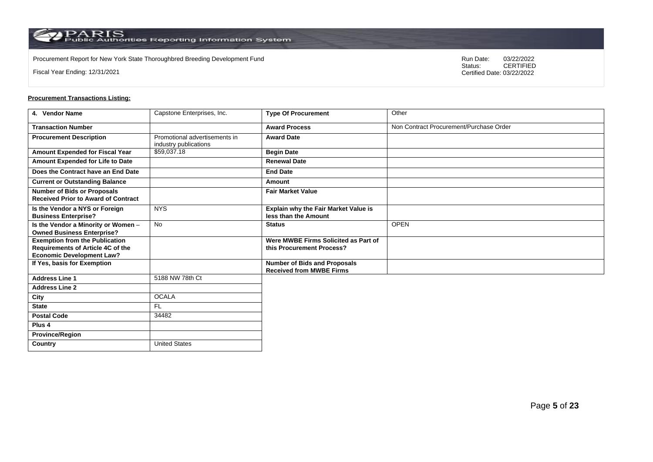Procurement Report for New York State Thoroughbred Breeding Development Fund<br>
Status:
CERTIFIED

Fiscal Year Ending: 12/31/2021

CERTIFIED Certified Date: 03/22/2022

| 4. Vendor Name                                                                                                 | Capstone Enterprises, Inc.                             | <b>Type Of Procurement</b>                                          | Other                                   |
|----------------------------------------------------------------------------------------------------------------|--------------------------------------------------------|---------------------------------------------------------------------|-----------------------------------------|
| <b>Transaction Number</b>                                                                                      |                                                        | <b>Award Process</b>                                                | Non Contract Procurement/Purchase Order |
| <b>Procurement Description</b>                                                                                 | Promotional advertisements in<br>industry publications | <b>Award Date</b>                                                   |                                         |
| Amount Expended for Fiscal Year                                                                                | \$59,037.18                                            | <b>Begin Date</b>                                                   |                                         |
| Amount Expended for Life to Date                                                                               |                                                        | <b>Renewal Date</b>                                                 |                                         |
| Does the Contract have an End Date                                                                             |                                                        | <b>End Date</b>                                                     |                                         |
| <b>Current or Outstanding Balance</b>                                                                          |                                                        | Amount                                                              |                                         |
| <b>Number of Bids or Proposals</b><br><b>Received Prior to Award of Contract</b>                               |                                                        | <b>Fair Market Value</b>                                            |                                         |
| Is the Vendor a NYS or Foreign<br><b>Business Enterprise?</b>                                                  | <b>NYS</b>                                             | <b>Explain why the Fair Market Value is</b><br>less than the Amount |                                         |
| Is the Vendor a Minority or Women -<br><b>Owned Business Enterprise?</b>                                       | <b>No</b>                                              | <b>Status</b>                                                       | <b>OPEN</b>                             |
| <b>Exemption from the Publication</b><br>Requirements of Article 4C of the<br><b>Economic Development Law?</b> |                                                        | Were MWBE Firms Solicited as Part of<br>this Procurement Process?   |                                         |
| If Yes, basis for Exemption                                                                                    |                                                        | Number of Bids and Proposals<br><b>Received from MWBE Firms</b>     |                                         |
| <b>Address Line 1</b>                                                                                          | 5188 NW 78th Ct                                        |                                                                     |                                         |
| <b>Address Line 2</b>                                                                                          |                                                        |                                                                     |                                         |
| City                                                                                                           | <b>OCALA</b>                                           |                                                                     |                                         |
| <b>State</b>                                                                                                   | F <sub>L</sub>                                         |                                                                     |                                         |
| <b>Postal Code</b>                                                                                             | 34482                                                  |                                                                     |                                         |
| Plus <sub>4</sub>                                                                                              |                                                        |                                                                     |                                         |
| <b>Province/Region</b>                                                                                         |                                                        |                                                                     |                                         |
| Country                                                                                                        | <b>United States</b>                                   |                                                                     |                                         |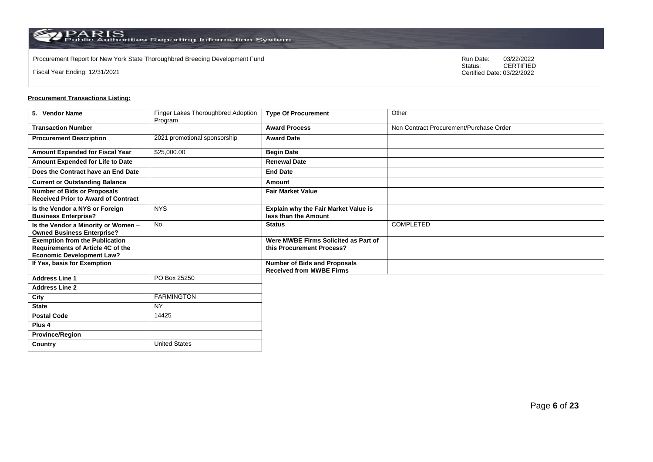Procurement Report for New York State Thoroughbred Breeding Development Fund<br>
Status:
CERTIFIED

Fiscal Year Ending: 12/31/2021

CERTIFIED Certified Date: 03/22/2022

| 5. Vendor Name                                                                                                 | Finger Lakes Thoroughbred Adoption<br>Program | <b>Type Of Procurement</b>                                        | Other                                   |
|----------------------------------------------------------------------------------------------------------------|-----------------------------------------------|-------------------------------------------------------------------|-----------------------------------------|
| <b>Transaction Number</b>                                                                                      |                                               | <b>Award Process</b>                                              | Non Contract Procurement/Purchase Order |
| <b>Procurement Description</b>                                                                                 | 2021 promotional sponsorship                  | <b>Award Date</b>                                                 |                                         |
| Amount Expended for Fiscal Year                                                                                | \$25,000.00                                   | <b>Begin Date</b>                                                 |                                         |
| Amount Expended for Life to Date                                                                               |                                               | <b>Renewal Date</b>                                               |                                         |
| Does the Contract have an End Date                                                                             |                                               | <b>End Date</b>                                                   |                                         |
| <b>Current or Outstanding Balance</b>                                                                          |                                               | Amount                                                            |                                         |
| <b>Number of Bids or Proposals</b><br><b>Received Prior to Award of Contract</b>                               |                                               | <b>Fair Market Value</b>                                          |                                         |
| Is the Vendor a NYS or Foreign<br><b>Business Enterprise?</b>                                                  | <b>NYS</b>                                    | Explain why the Fair Market Value is<br>less than the Amount      |                                         |
| Is the Vendor a Minority or Women -<br><b>Owned Business Enterprise?</b>                                       | <b>No</b>                                     | <b>Status</b>                                                     | <b>COMPLETED</b>                        |
| <b>Exemption from the Publication</b><br>Requirements of Article 4C of the<br><b>Economic Development Law?</b> |                                               | Were MWBE Firms Solicited as Part of<br>this Procurement Process? |                                         |
| If Yes, basis for Exemption                                                                                    |                                               | Number of Bids and Proposals<br><b>Received from MWBE Firms</b>   |                                         |
| <b>Address Line 1</b>                                                                                          | PO Box 25250                                  |                                                                   |                                         |
| <b>Address Line 2</b>                                                                                          |                                               |                                                                   |                                         |
| City                                                                                                           | <b>FARMINGTON</b>                             |                                                                   |                                         |
| <b>State</b>                                                                                                   | <b>NY</b>                                     |                                                                   |                                         |
| <b>Postal Code</b>                                                                                             | 14425                                         |                                                                   |                                         |
| Plus <sub>4</sub>                                                                                              |                                               |                                                                   |                                         |
| <b>Province/Region</b>                                                                                         |                                               |                                                                   |                                         |
| Country                                                                                                        | <b>United States</b>                          |                                                                   |                                         |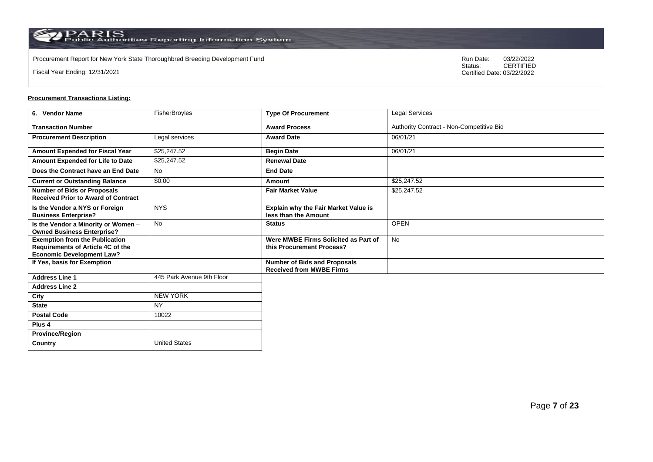$\operatorname{PARS}$  PARIS<br>Public Authorities Reporting Information System

Procurement Report for New York State Thoroughbred Breeding Development Fund<br>
Status:
CERTIFIED

Fiscal Year Ending: 12/31/2021

CERTIFIED Certified Date: 03/22/2022

# **Procurement Transactions Listing:**

| 6. Vendor Name                                                                                                 | FisherBroyles             | <b>Type Of Procurement</b>                                             | Legal Services                           |
|----------------------------------------------------------------------------------------------------------------|---------------------------|------------------------------------------------------------------------|------------------------------------------|
| <b>Transaction Number</b>                                                                                      |                           | <b>Award Process</b>                                                   | Authority Contract - Non-Competitive Bid |
| <b>Procurement Description</b>                                                                                 | Legal services            | <b>Award Date</b>                                                      | 06/01/21                                 |
| Amount Expended for Fiscal Year                                                                                | \$25,247.52               | <b>Begin Date</b>                                                      | 06/01/21                                 |
| Amount Expended for Life to Date                                                                               | \$25,247.52               | <b>Renewal Date</b>                                                    |                                          |
| Does the Contract have an End Date                                                                             | <b>No</b>                 | <b>End Date</b>                                                        |                                          |
| <b>Current or Outstanding Balance</b>                                                                          | \$0.00                    | Amount                                                                 | \$25,247.52                              |
| <b>Number of Bids or Proposals</b><br><b>Received Prior to Award of Contract</b>                               |                           | <b>Fair Market Value</b>                                               | \$25,247.52                              |
| Is the Vendor a NYS or Foreign<br><b>Business Enterprise?</b>                                                  | <b>NYS</b>                | Explain why the Fair Market Value is<br>less than the Amount           |                                          |
| Is the Vendor a Minority or Women -<br><b>Owned Business Enterprise?</b>                                       | <b>No</b>                 | <b>Status</b>                                                          | <b>OPEN</b>                              |
| <b>Exemption from the Publication</b><br>Requirements of Article 4C of the<br><b>Economic Development Law?</b> |                           | Were MWBE Firms Solicited as Part of<br>this Procurement Process?      | <b>No</b>                                |
| If Yes, basis for Exemption                                                                                    |                           | <b>Number of Bids and Proposals</b><br><b>Received from MWBE Firms</b> |                                          |
| <b>Address Line 1</b>                                                                                          | 445 Park Avenue 9th Floor |                                                                        |                                          |
| <b>Address Line 2</b>                                                                                          |                           |                                                                        |                                          |
| City                                                                                                           | <b>NEW YORK</b>           |                                                                        |                                          |
| <b>State</b>                                                                                                   | <b>NY</b>                 |                                                                        |                                          |
| <b>Postal Code</b>                                                                                             | 10022                     |                                                                        |                                          |
| Plus <sub>4</sub>                                                                                              |                           |                                                                        |                                          |
| <b>Province/Region</b>                                                                                         |                           |                                                                        |                                          |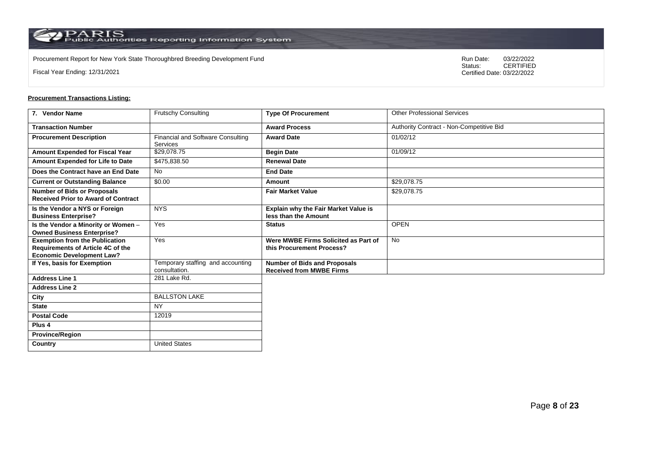Procurement Report for New York State Thoroughbred Breeding Development Fund<br>
Status:
CERTIFIED

Fiscal Year Ending: 12/31/2021

CERTIFIED Certified Date: 03/22/2022

| 7. Vendor Name                                                                                                 | <b>Frutschy Consulting</b>                         | <b>Type Of Procurement</b>                                             | <b>Other Professional Services</b>       |
|----------------------------------------------------------------------------------------------------------------|----------------------------------------------------|------------------------------------------------------------------------|------------------------------------------|
| <b>Transaction Number</b>                                                                                      |                                                    | <b>Award Process</b>                                                   | Authority Contract - Non-Competitive Bid |
| <b>Procurement Description</b>                                                                                 | Financial and Software Consulting<br>Services      | <b>Award Date</b>                                                      | 01/02/12                                 |
| Amount Expended for Fiscal Year                                                                                | \$29,078.75                                        | <b>Begin Date</b>                                                      | 01/09/12                                 |
| Amount Expended for Life to Date                                                                               | \$475.838.50                                       | <b>Renewal Date</b>                                                    |                                          |
| Does the Contract have an End Date                                                                             | <b>No</b>                                          | <b>End Date</b>                                                        |                                          |
| <b>Current or Outstanding Balance</b>                                                                          | \$0.00                                             | Amount                                                                 | \$29,078.75                              |
| <b>Number of Bids or Proposals</b><br><b>Received Prior to Award of Contract</b>                               |                                                    | <b>Fair Market Value</b>                                               | \$29,078.75                              |
| Is the Vendor a NYS or Foreign<br><b>Business Enterprise?</b>                                                  | <b>NYS</b>                                         | <b>Explain why the Fair Market Value is</b><br>less than the Amount    |                                          |
| Is the Vendor a Minority or Women -<br><b>Owned Business Enterprise?</b>                                       | Yes                                                | <b>Status</b>                                                          | <b>OPEN</b>                              |
| <b>Exemption from the Publication</b><br>Requirements of Article 4C of the<br><b>Economic Development Law?</b> | Yes                                                | Were MWBE Firms Solicited as Part of<br>this Procurement Process?      | <b>No</b>                                |
| If Yes, basis for Exemption                                                                                    | Temporary staffing and accounting<br>consultation. | <b>Number of Bids and Proposals</b><br><b>Received from MWBE Firms</b> |                                          |
| <b>Address Line 1</b>                                                                                          | 281 Lake Rd.                                       |                                                                        |                                          |
| <b>Address Line 2</b>                                                                                          |                                                    |                                                                        |                                          |
| City                                                                                                           | <b>BALLSTON LAKE</b>                               |                                                                        |                                          |
| <b>State</b>                                                                                                   | <b>NY</b>                                          |                                                                        |                                          |
| <b>Postal Code</b>                                                                                             | 12019                                              |                                                                        |                                          |
| Plus <sub>4</sub>                                                                                              |                                                    |                                                                        |                                          |
| <b>Province/Region</b>                                                                                         |                                                    |                                                                        |                                          |
| Country                                                                                                        | <b>United States</b>                               |                                                                        |                                          |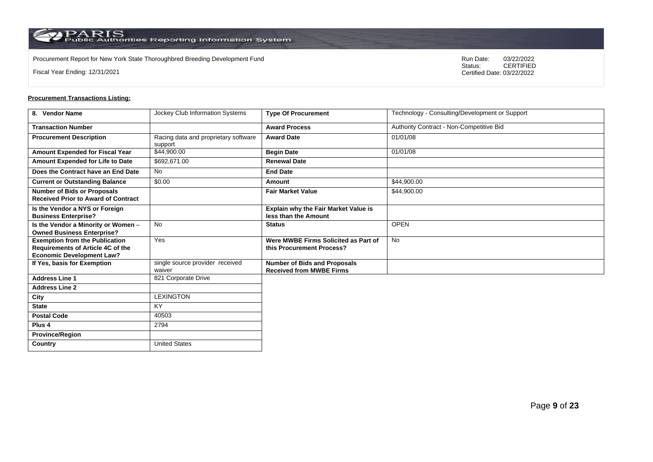Procurement Report for New York State Thoroughbred Breeding Development Fund<br>
Status:
CERTIFIED

Fiscal Year Ending: 12/31/2021

CERTIFIED Certified Date: 03/22/2022

| 8. Vendor Name                                                                                                 | <b>Jockey Club Information Systems</b>          | <b>Type Of Procurement</b>                                             | Technology - Consulting/Development or Support |
|----------------------------------------------------------------------------------------------------------------|-------------------------------------------------|------------------------------------------------------------------------|------------------------------------------------|
| <b>Transaction Number</b>                                                                                      |                                                 | <b>Award Process</b>                                                   | Authority Contract - Non-Competitive Bid       |
| <b>Procurement Description</b>                                                                                 | Racing data and proprietary software<br>support | <b>Award Date</b>                                                      | 01/01/08                                       |
| <b>Amount Expended for Fiscal Year</b>                                                                         | \$44,900.00                                     | <b>Begin Date</b>                                                      | 01/01/08                                       |
| Amount Expended for Life to Date                                                                               | \$692.671.00                                    | <b>Renewal Date</b>                                                    |                                                |
| Does the Contract have an End Date                                                                             | <b>No</b>                                       | <b>End Date</b>                                                        |                                                |
| <b>Current or Outstanding Balance</b>                                                                          | \$0.00                                          | Amount                                                                 | \$44,900.00                                    |
| <b>Number of Bids or Proposals</b><br><b>Received Prior to Award of Contract</b>                               |                                                 | <b>Fair Market Value</b>                                               | \$44,900.00                                    |
| Is the Vendor a NYS or Foreign<br><b>Business Enterprise?</b>                                                  |                                                 | <b>Explain why the Fair Market Value is</b><br>less than the Amount    |                                                |
| Is the Vendor a Minority or Women -<br><b>Owned Business Enterprise?</b>                                       | <b>No</b>                                       | <b>Status</b>                                                          | <b>OPEN</b>                                    |
| <b>Exemption from the Publication</b><br>Requirements of Article 4C of the<br><b>Economic Development Law?</b> | Yes                                             | Were MWBE Firms Solicited as Part of<br>this Procurement Process?      | <b>No</b>                                      |
| If Yes, basis for Exemption                                                                                    | single source provider received<br>waiver       | <b>Number of Bids and Proposals</b><br><b>Received from MWBE Firms</b> |                                                |
| <b>Address Line 1</b>                                                                                          | 821 Corporate Drive                             |                                                                        |                                                |
| <b>Address Line 2</b>                                                                                          |                                                 |                                                                        |                                                |
| City                                                                                                           | <b>LEXINGTON</b>                                |                                                                        |                                                |
| <b>State</b>                                                                                                   | <b>KY</b>                                       |                                                                        |                                                |
| <b>Postal Code</b>                                                                                             | 40503                                           |                                                                        |                                                |
| Plus <sub>4</sub>                                                                                              | 2794                                            |                                                                        |                                                |
| <b>Province/Region</b>                                                                                         |                                                 |                                                                        |                                                |
| Country                                                                                                        | <b>United States</b>                            |                                                                        |                                                |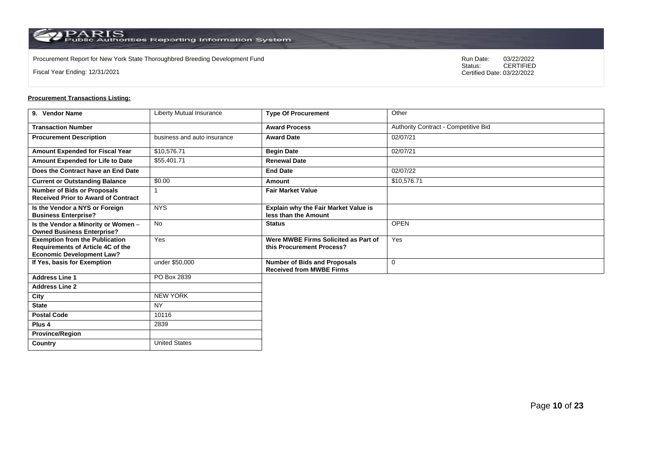Procurement Report for New York State Thoroughbred Breeding Development Fund<br>
Status:
CERTIFIED

Fiscal Year Ending: 12/31/2021

CERTIFIED Certified Date: 03/22/2022

# **Procurement Transactions Listing:**

| 9. Vendor Name                                                                                                 | Liberty Mutual Insurance    | <b>Type Of Procurement</b>                                             | Other                                |
|----------------------------------------------------------------------------------------------------------------|-----------------------------|------------------------------------------------------------------------|--------------------------------------|
| <b>Transaction Number</b>                                                                                      |                             | <b>Award Process</b>                                                   | Authority Contract - Competitive Bid |
| <b>Procurement Description</b>                                                                                 | business and auto insurance | <b>Award Date</b>                                                      | 02/07/21                             |
| Amount Expended for Fiscal Year                                                                                | \$10,576.71                 | <b>Begin Date</b>                                                      | 02/07/21                             |
| Amount Expended for Life to Date                                                                               | \$55,401.71                 | <b>Renewal Date</b>                                                    |                                      |
| Does the Contract have an End Date                                                                             |                             | <b>End Date</b>                                                        | 02/07/22                             |
| <b>Current or Outstanding Balance</b>                                                                          | \$0.00                      | Amount                                                                 | \$10,576.71                          |
| <b>Number of Bids or Proposals</b><br><b>Received Prior to Award of Contract</b>                               |                             | <b>Fair Market Value</b>                                               |                                      |
| Is the Vendor a NYS or Foreign<br><b>Business Enterprise?</b>                                                  | <b>NYS</b>                  | Explain why the Fair Market Value is<br>less than the Amount           |                                      |
| Is the Vendor a Minority or Women -<br><b>Owned Business Enterprise?</b>                                       | <b>No</b>                   | <b>Status</b>                                                          | <b>OPEN</b>                          |
| <b>Exemption from the Publication</b><br>Requirements of Article 4C of the<br><b>Economic Development Law?</b> | Yes                         | Were MWBE Firms Solicited as Part of<br>this Procurement Process?      | Yes                                  |
| If Yes, basis for Exemption                                                                                    | under \$50,000              | <b>Number of Bids and Proposals</b><br><b>Received from MWBE Firms</b> | $\mathbf 0$                          |
| <b>Address Line 1</b>                                                                                          | PO Box 2839                 |                                                                        |                                      |
| <b>Address Line 2</b>                                                                                          |                             |                                                                        |                                      |
| City                                                                                                           | <b>NEW YORK</b>             |                                                                        |                                      |
| <b>State</b>                                                                                                   | <b>NY</b>                   |                                                                        |                                      |
| <b>Postal Code</b>                                                                                             | 10116                       |                                                                        |                                      |
| Plus <sub>4</sub>                                                                                              | 2839                        |                                                                        |                                      |
| <b>Province/Region</b>                                                                                         |                             |                                                                        |                                      |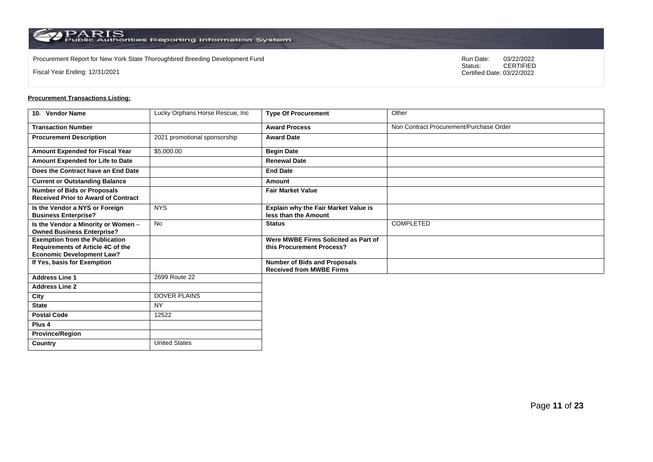Procurement Report for New York State Thoroughbred Breeding Development Fund<br>
Status:
CERTIFIED

Fiscal Year Ending: 12/31/2021

CERTIFIED Certified Date: 03/22/2022

| 10. Vendor Name                                                                                                | Lucky Orphans Horse Rescue, Inc. | <b>Type Of Procurement</b>                                             | Other                                   |
|----------------------------------------------------------------------------------------------------------------|----------------------------------|------------------------------------------------------------------------|-----------------------------------------|
| <b>Transaction Number</b>                                                                                      |                                  | <b>Award Process</b>                                                   | Non Contract Procurement/Purchase Order |
| <b>Procurement Description</b>                                                                                 | 2021 promotional sponsorship     | <b>Award Date</b>                                                      |                                         |
| Amount Expended for Fiscal Year                                                                                | \$5,000.00                       | <b>Begin Date</b>                                                      |                                         |
| Amount Expended for Life to Date                                                                               |                                  | <b>Renewal Date</b>                                                    |                                         |
| Does the Contract have an End Date                                                                             |                                  | <b>End Date</b>                                                        |                                         |
| <b>Current or Outstanding Balance</b>                                                                          |                                  | <b>Amount</b>                                                          |                                         |
| <b>Number of Bids or Proposals</b><br><b>Received Prior to Award of Contract</b>                               |                                  | <b>Fair Market Value</b>                                               |                                         |
| Is the Vendor a NYS or Foreign<br><b>Business Enterprise?</b>                                                  | <b>NYS</b>                       | Explain why the Fair Market Value is<br>less than the Amount           |                                         |
| Is the Vendor a Minority or Women -<br><b>Owned Business Enterprise?</b>                                       | No                               | <b>Status</b>                                                          | COMPLETED                               |
| <b>Exemption from the Publication</b><br>Requirements of Article 4C of the<br><b>Economic Development Law?</b> |                                  | Were MWBE Firms Solicited as Part of<br>this Procurement Process?      |                                         |
| If Yes, basis for Exemption                                                                                    |                                  | <b>Number of Bids and Proposals</b><br><b>Received from MWBE Firms</b> |                                         |
| <b>Address Line 1</b>                                                                                          | 2699 Route 22                    |                                                                        |                                         |
| <b>Address Line 2</b>                                                                                          |                                  |                                                                        |                                         |
| City                                                                                                           | <b>DOVER PLAINS</b>              |                                                                        |                                         |
| <b>State</b>                                                                                                   | <b>NY</b>                        |                                                                        |                                         |
| <b>Postal Code</b>                                                                                             | 12522                            |                                                                        |                                         |
| Plus 4                                                                                                         |                                  |                                                                        |                                         |
| <b>Province/Region</b>                                                                                         |                                  |                                                                        |                                         |
| Country                                                                                                        | <b>United States</b>             |                                                                        |                                         |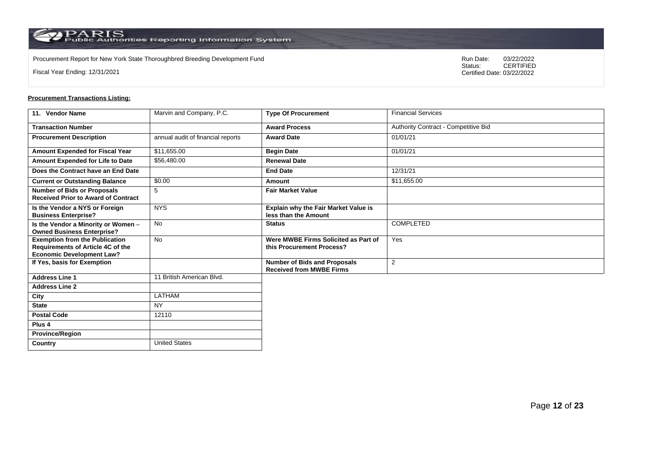Procurement Report for New York State Thoroughbred Breeding Development Fund<br>
Status:
CERTIFIED

Fiscal Year Ending: 12/31/2021

CERTIFIED Certified Date: 03/22/2022

# **Procurement Transactions Listing:**

| 11. Vendor Name                                                                                                | Marvin and Company, P.C.          | <b>Type Of Procurement</b>                                             | <b>Financial Services</b>            |
|----------------------------------------------------------------------------------------------------------------|-----------------------------------|------------------------------------------------------------------------|--------------------------------------|
| <b>Transaction Number</b>                                                                                      |                                   | <b>Award Process</b>                                                   | Authority Contract - Competitive Bid |
| <b>Procurement Description</b>                                                                                 | annual audit of financial reports | <b>Award Date</b>                                                      | 01/01/21                             |
| <b>Amount Expended for Fiscal Year</b>                                                                         | \$11,655.00                       | <b>Begin Date</b>                                                      | 01/01/21                             |
| Amount Expended for Life to Date                                                                               | \$56,480.00                       | <b>Renewal Date</b>                                                    |                                      |
| Does the Contract have an End Date                                                                             |                                   | <b>End Date</b>                                                        | 12/31/21                             |
| <b>Current or Outstanding Balance</b>                                                                          | \$0.00                            | Amount                                                                 | \$11,655.00                          |
| <b>Number of Bids or Proposals</b><br><b>Received Prior to Award of Contract</b>                               | 5                                 | <b>Fair Market Value</b>                                               |                                      |
| Is the Vendor a NYS or Foreign<br><b>Business Enterprise?</b>                                                  | <b>NYS</b>                        | Explain why the Fair Market Value is<br>less than the Amount           |                                      |
| Is the Vendor a Minority or Women -<br><b>Owned Business Enterprise?</b>                                       | <b>No</b>                         | <b>Status</b>                                                          | <b>COMPLETED</b>                     |
| <b>Exemption from the Publication</b><br>Requirements of Article 4C of the<br><b>Economic Development Law?</b> | <b>No</b>                         | Were MWBE Firms Solicited as Part of<br>this Procurement Process?      | Yes                                  |
| If Yes, basis for Exemption                                                                                    |                                   | <b>Number of Bids and Proposals</b><br><b>Received from MWBE Firms</b> | 2                                    |
| <b>Address Line 1</b>                                                                                          | 11 British American Blvd.         |                                                                        |                                      |
| <b>Address Line 2</b>                                                                                          |                                   |                                                                        |                                      |
| City                                                                                                           | <b>LATHAM</b>                     |                                                                        |                                      |
| <b>State</b>                                                                                                   | <b>NY</b>                         |                                                                        |                                      |
| <b>Postal Code</b>                                                                                             | 12110                             |                                                                        |                                      |
| Plus <sub>4</sub>                                                                                              |                                   |                                                                        |                                      |
| <b>Province/Region</b>                                                                                         |                                   |                                                                        |                                      |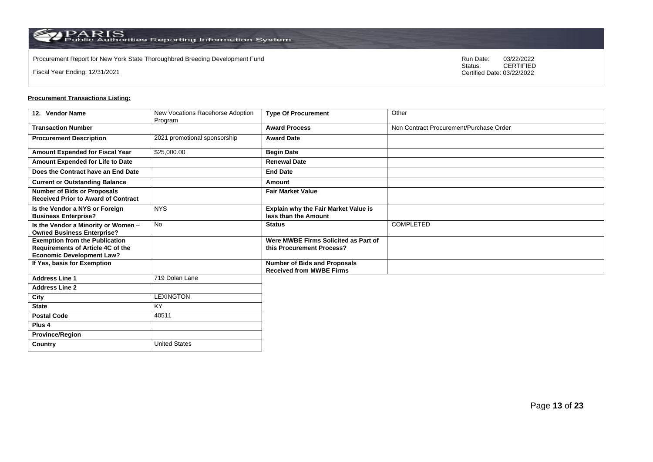Procurement Report for New York State Thoroughbred Breeding Development Fund<br>
Status:
CERTIFIED

Fiscal Year Ending: 12/31/2021

CERTIFIED Certified Date: 03/22/2022

| 12. Vendor Name                                                                                                | New Vocations Racehorse Adoption<br>Program | <b>Type Of Procurement</b>                                             | Other                                   |
|----------------------------------------------------------------------------------------------------------------|---------------------------------------------|------------------------------------------------------------------------|-----------------------------------------|
| <b>Transaction Number</b>                                                                                      |                                             | <b>Award Process</b>                                                   | Non Contract Procurement/Purchase Order |
| <b>Procurement Description</b>                                                                                 | 2021 promotional sponsorship                | <b>Award Date</b>                                                      |                                         |
| <b>Amount Expended for Fiscal Year</b>                                                                         | \$25,000.00                                 | <b>Begin Date</b>                                                      |                                         |
| Amount Expended for Life to Date                                                                               |                                             | <b>Renewal Date</b>                                                    |                                         |
| Does the Contract have an End Date                                                                             |                                             | <b>End Date</b>                                                        |                                         |
| <b>Current or Outstanding Balance</b>                                                                          |                                             | Amount                                                                 |                                         |
| <b>Number of Bids or Proposals</b><br><b>Received Prior to Award of Contract</b>                               |                                             | <b>Fair Market Value</b>                                               |                                         |
| Is the Vendor a NYS or Foreign<br><b>Business Enterprise?</b>                                                  | <b>NYS</b>                                  | Explain why the Fair Market Value is<br>less than the Amount           |                                         |
| Is the Vendor a Minority or Women -<br><b>Owned Business Enterprise?</b>                                       | <b>No</b>                                   | <b>Status</b>                                                          | <b>COMPLETED</b>                        |
| <b>Exemption from the Publication</b><br>Requirements of Article 4C of the<br><b>Economic Development Law?</b> |                                             | Were MWBE Firms Solicited as Part of<br>this Procurement Process?      |                                         |
| If Yes, basis for Exemption                                                                                    |                                             | <b>Number of Bids and Proposals</b><br><b>Received from MWBE Firms</b> |                                         |
| <b>Address Line 1</b>                                                                                          | 719 Dolan Lane                              |                                                                        |                                         |
| <b>Address Line 2</b>                                                                                          |                                             |                                                                        |                                         |
| City                                                                                                           | <b>LEXINGTON</b>                            |                                                                        |                                         |
| <b>State</b>                                                                                                   | <b>KY</b>                                   |                                                                        |                                         |
| <b>Postal Code</b>                                                                                             | 40511                                       |                                                                        |                                         |
| Plus <sub>4</sub>                                                                                              |                                             |                                                                        |                                         |
| <b>Province/Region</b>                                                                                         |                                             |                                                                        |                                         |
| Country                                                                                                        | <b>United States</b>                        |                                                                        |                                         |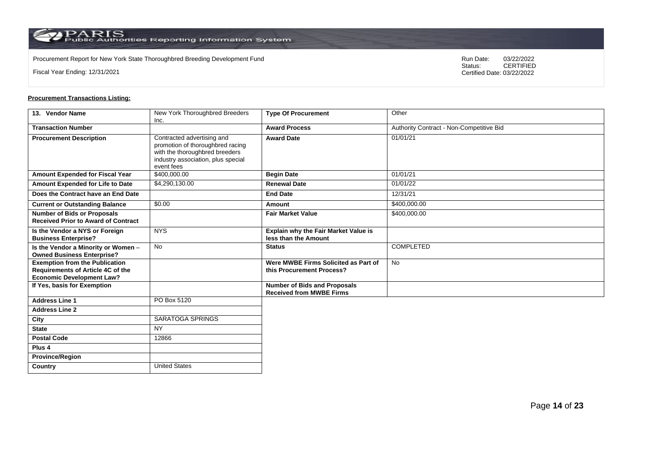Procurement Report for New York State Thoroughbred Breeding Development Fund<br>
Status:
CERTIFIED

Fiscal Year Ending: 12/31/2021

CERTIFIED Certified Date: 03/22/2022

| 13. Vendor Name                                                                                                       | New York Thoroughbred Breeders<br>Inc.                                                                                                               | <b>Type Of Procurement</b>                                             | Other                                    |
|-----------------------------------------------------------------------------------------------------------------------|------------------------------------------------------------------------------------------------------------------------------------------------------|------------------------------------------------------------------------|------------------------------------------|
| <b>Transaction Number</b>                                                                                             |                                                                                                                                                      | <b>Award Process</b>                                                   | Authority Contract - Non-Competitive Bid |
| <b>Procurement Description</b>                                                                                        | Contracted advertising and<br>promotion of thoroughbred racing<br>with the thoroughbred breeders<br>industry association, plus special<br>event fees | <b>Award Date</b>                                                      | 01/01/21                                 |
| <b>Amount Expended for Fiscal Year</b>                                                                                | \$400,000.00                                                                                                                                         | <b>Begin Date</b>                                                      | 01/01/21                                 |
| Amount Expended for Life to Date                                                                                      | \$4,290,130.00                                                                                                                                       | <b>Renewal Date</b>                                                    | 01/01/22                                 |
| Does the Contract have an End Date                                                                                    |                                                                                                                                                      | <b>End Date</b>                                                        | 12/31/21                                 |
| <b>Current or Outstanding Balance</b>                                                                                 | \$0.00                                                                                                                                               | Amount                                                                 | \$400,000.00                             |
| <b>Number of Bids or Proposals</b><br><b>Received Prior to Award of Contract</b>                                      |                                                                                                                                                      | <b>Fair Market Value</b>                                               | \$400,000.00                             |
| Is the Vendor a NYS or Foreign<br><b>Business Enterprise?</b>                                                         | <b>NYS</b>                                                                                                                                           | <b>Explain why the Fair Market Value is</b><br>less than the Amount    |                                          |
| Is the Vendor a Minority or Women -<br><b>Owned Business Enterprise?</b>                                              | <b>No</b>                                                                                                                                            | <b>Status</b>                                                          | <b>COMPLETED</b>                         |
| <b>Exemption from the Publication</b><br><b>Requirements of Article 4C of the</b><br><b>Economic Development Law?</b> |                                                                                                                                                      | Were MWBE Firms Solicited as Part of<br>this Procurement Process?      | <b>No</b>                                |
| If Yes, basis for Exemption                                                                                           |                                                                                                                                                      | <b>Number of Bids and Proposals</b><br><b>Received from MWBE Firms</b> |                                          |
| <b>Address Line 1</b>                                                                                                 | PO Box 5120                                                                                                                                          |                                                                        |                                          |
| <b>Address Line 2</b>                                                                                                 |                                                                                                                                                      |                                                                        |                                          |
| City                                                                                                                  | <b>SARATOGA SPRINGS</b>                                                                                                                              |                                                                        |                                          |
| <b>State</b>                                                                                                          | <b>NY</b>                                                                                                                                            |                                                                        |                                          |
| <b>Postal Code</b>                                                                                                    | 12866                                                                                                                                                |                                                                        |                                          |
| Plus <sub>4</sub>                                                                                                     |                                                                                                                                                      |                                                                        |                                          |
| <b>Province/Region</b>                                                                                                |                                                                                                                                                      |                                                                        |                                          |
| Country                                                                                                               | <b>United States</b>                                                                                                                                 |                                                                        |                                          |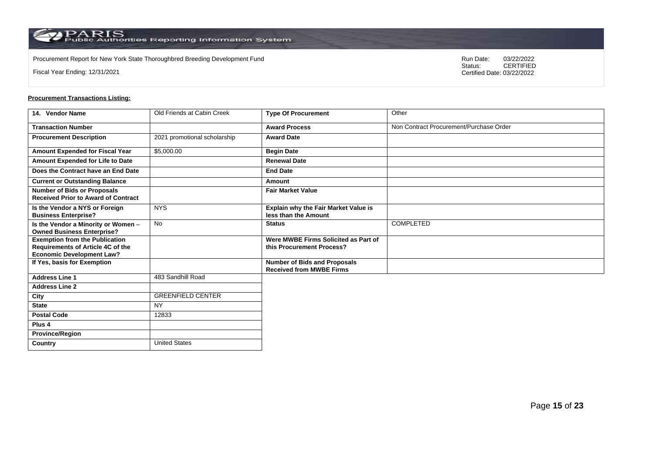Procurement Report for New York State Thoroughbred Breeding Development Fund<br>
Status:
CERTIFIED

Fiscal Year Ending: 12/31/2021

CERTIFIED Certified Date: 03/22/2022

# **Procurement Transactions Listing:**

| 14. Vendor Name                                                                                                | Old Friends at Cabin Creek   | <b>Type Of Procurement</b>                                             | Other                                   |
|----------------------------------------------------------------------------------------------------------------|------------------------------|------------------------------------------------------------------------|-----------------------------------------|
| <b>Transaction Number</b>                                                                                      |                              | <b>Award Process</b>                                                   | Non Contract Procurement/Purchase Order |
| <b>Procurement Description</b>                                                                                 | 2021 promotional scholarship | <b>Award Date</b>                                                      |                                         |
| <b>Amount Expended for Fiscal Year</b>                                                                         | \$5,000.00                   | <b>Begin Date</b>                                                      |                                         |
| Amount Expended for Life to Date                                                                               |                              | <b>Renewal Date</b>                                                    |                                         |
| Does the Contract have an End Date                                                                             |                              | <b>End Date</b>                                                        |                                         |
| <b>Current or Outstanding Balance</b>                                                                          |                              | Amount                                                                 |                                         |
| <b>Number of Bids or Proposals</b><br><b>Received Prior to Award of Contract</b>                               |                              | <b>Fair Market Value</b>                                               |                                         |
| Is the Vendor a NYS or Foreign<br><b>Business Enterprise?</b>                                                  | <b>NYS</b>                   | Explain why the Fair Market Value is<br>less than the Amount           |                                         |
| Is the Vendor a Minority or Women -<br><b>Owned Business Enterprise?</b>                                       | <b>No</b>                    | <b>Status</b>                                                          | COMPLETED                               |
| <b>Exemption from the Publication</b><br>Requirements of Article 4C of the<br><b>Economic Development Law?</b> |                              | Were MWBE Firms Solicited as Part of<br>this Procurement Process?      |                                         |
| If Yes, basis for Exemption                                                                                    |                              | <b>Number of Bids and Proposals</b><br><b>Received from MWBE Firms</b> |                                         |
| <b>Address Line 1</b>                                                                                          | 483 Sandhill Road            |                                                                        |                                         |
| <b>Address Line 2</b>                                                                                          |                              |                                                                        |                                         |
| City                                                                                                           | <b>GREENFIELD CENTER</b>     |                                                                        |                                         |
| <b>State</b>                                                                                                   | <b>NY</b>                    |                                                                        |                                         |
| <b>Postal Code</b>                                                                                             | 12833                        |                                                                        |                                         |
| Plus <sub>4</sub>                                                                                              |                              |                                                                        |                                         |
| <b>Province/Region</b>                                                                                         |                              |                                                                        |                                         |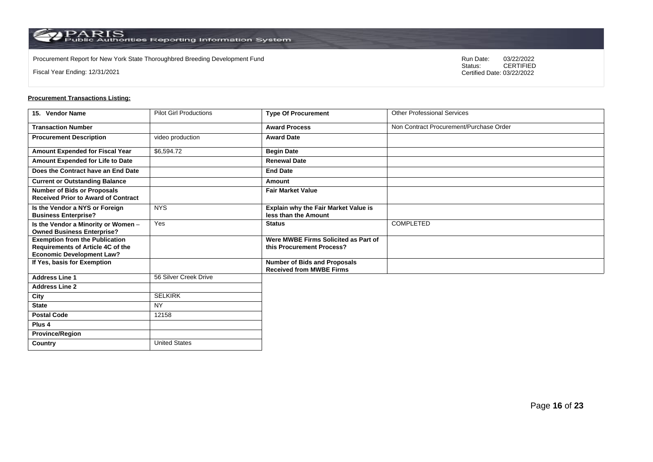Procurement Report for New York State Thoroughbred Breeding Development Fund<br>
Status:
CERTIFIED

Fiscal Year Ending: 12/31/2021

CERTIFIED Certified Date: 03/22/2022

| 15. Vendor Name                                                                  | <b>Pilot Girl Productions</b> | <b>Type Of Procurement</b>                                             | <b>Other Professional Services</b>      |
|----------------------------------------------------------------------------------|-------------------------------|------------------------------------------------------------------------|-----------------------------------------|
| <b>Transaction Number</b>                                                        |                               | <b>Award Process</b>                                                   | Non Contract Procurement/Purchase Order |
| <b>Procurement Description</b>                                                   | video production              | <b>Award Date</b>                                                      |                                         |
| Amount Expended for Fiscal Year                                                  | \$6,594.72                    | <b>Begin Date</b>                                                      |                                         |
| Amount Expended for Life to Date                                                 |                               | <b>Renewal Date</b>                                                    |                                         |
| Does the Contract have an End Date                                               |                               | <b>End Date</b>                                                        |                                         |
| <b>Current or Outstanding Balance</b>                                            |                               | Amount                                                                 |                                         |
| <b>Number of Bids or Proposals</b><br><b>Received Prior to Award of Contract</b> |                               | <b>Fair Market Value</b>                                               |                                         |
| Is the Vendor a NYS or Foreign<br><b>Business Enterprise?</b>                    | <b>NYS</b>                    | Explain why the Fair Market Value is<br>less than the Amount           |                                         |
| Is the Vendor a Minority or Women -<br><b>Owned Business Enterprise?</b>         | Yes                           | <b>Status</b>                                                          | <b>COMPLETED</b>                        |
| <b>Exemption from the Publication</b><br>Requirements of Article 4C of the       |                               | Were MWBE Firms Solicited as Part of<br>this Procurement Process?      |                                         |
| <b>Economic Development Law?</b>                                                 |                               |                                                                        |                                         |
| If Yes, basis for Exemption                                                      |                               | <b>Number of Bids and Proposals</b><br><b>Received from MWBE Firms</b> |                                         |
| <b>Address Line 1</b>                                                            | 56 Silver Creek Drive         |                                                                        |                                         |
| <b>Address Line 2</b>                                                            |                               |                                                                        |                                         |
| City                                                                             | <b>SELKIRK</b>                |                                                                        |                                         |
| <b>State</b>                                                                     | <b>NY</b>                     |                                                                        |                                         |
| <b>Postal Code</b>                                                               | 12158                         |                                                                        |                                         |
| Plus 4                                                                           |                               |                                                                        |                                         |
| <b>Province/Region</b>                                                           |                               |                                                                        |                                         |
| Country                                                                          | <b>United States</b>          |                                                                        |                                         |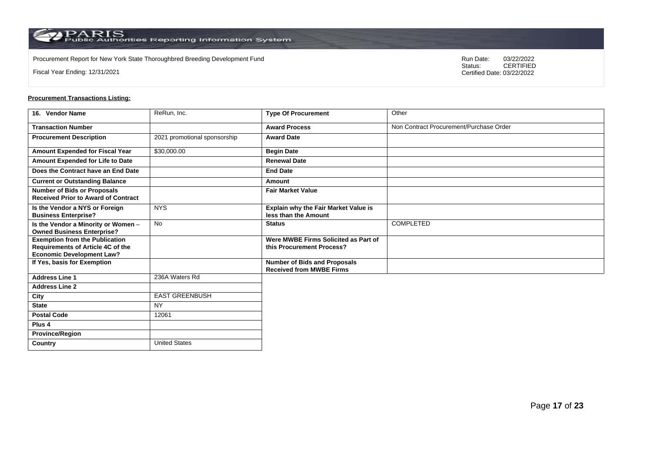Procurement Report for New York State Thoroughbred Breeding Development Fund<br>
Status:
CERTIFIED

Fiscal Year Ending: 12/31/2021

CERTIFIED Certified Date: 03/22/2022

| 16. Vendor Name                                                                                                | ReRun, Inc.                  | <b>Type Of Procurement</b>                                             | Other                                   |
|----------------------------------------------------------------------------------------------------------------|------------------------------|------------------------------------------------------------------------|-----------------------------------------|
| <b>Transaction Number</b>                                                                                      |                              | <b>Award Process</b>                                                   | Non Contract Procurement/Purchase Order |
| <b>Procurement Description</b>                                                                                 | 2021 promotional sponsorship | <b>Award Date</b>                                                      |                                         |
| Amount Expended for Fiscal Year                                                                                | \$30,000.00                  | <b>Begin Date</b>                                                      |                                         |
| Amount Expended for Life to Date                                                                               |                              | <b>Renewal Date</b>                                                    |                                         |
| Does the Contract have an End Date                                                                             |                              | <b>End Date</b>                                                        |                                         |
| <b>Current or Outstanding Balance</b>                                                                          |                              | <b>Amount</b>                                                          |                                         |
| <b>Number of Bids or Proposals</b><br><b>Received Prior to Award of Contract</b>                               |                              | <b>Fair Market Value</b>                                               |                                         |
| Is the Vendor a NYS or Foreign<br><b>Business Enterprise?</b>                                                  | <b>NYS</b>                   | Explain why the Fair Market Value is<br>less than the Amount           |                                         |
| Is the Vendor a Minority or Women -<br><b>Owned Business Enterprise?</b>                                       | No                           | <b>Status</b>                                                          | COMPLETED                               |
| <b>Exemption from the Publication</b><br>Requirements of Article 4C of the<br><b>Economic Development Law?</b> |                              | Were MWBE Firms Solicited as Part of<br>this Procurement Process?      |                                         |
| If Yes, basis for Exemption                                                                                    |                              | <b>Number of Bids and Proposals</b><br><b>Received from MWBE Firms</b> |                                         |
| <b>Address Line 1</b>                                                                                          | 236A Waters Rd               |                                                                        |                                         |
| <b>Address Line 2</b>                                                                                          |                              |                                                                        |                                         |
| City                                                                                                           | <b>EAST GREENBUSH</b>        |                                                                        |                                         |
| <b>State</b>                                                                                                   | <b>NY</b>                    |                                                                        |                                         |
| <b>Postal Code</b>                                                                                             | 12061                        |                                                                        |                                         |
| Plus 4                                                                                                         |                              |                                                                        |                                         |
| <b>Province/Region</b>                                                                                         |                              |                                                                        |                                         |
| Country                                                                                                        | <b>United States</b>         |                                                                        |                                         |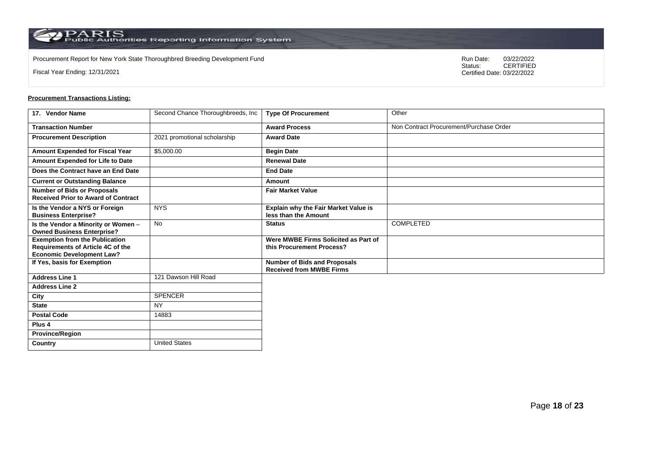Procurement Report for New York State Thoroughbred Breeding Development Fund<br>
Status:
CERTIFIED

Fiscal Year Ending: 12/31/2021

CERTIFIED Certified Date: 03/22/2022

| 17. Vendor Name                                                                                                | Second Chance Thoroughbreeds, Inc | <b>Type Of Procurement</b>                                        | Other                                   |
|----------------------------------------------------------------------------------------------------------------|-----------------------------------|-------------------------------------------------------------------|-----------------------------------------|
| <b>Transaction Number</b>                                                                                      |                                   | <b>Award Process</b>                                              | Non Contract Procurement/Purchase Order |
| <b>Procurement Description</b>                                                                                 | 2021 promotional scholarship      | <b>Award Date</b>                                                 |                                         |
| Amount Expended for Fiscal Year                                                                                | \$5,000.00                        | <b>Begin Date</b>                                                 |                                         |
| Amount Expended for Life to Date                                                                               |                                   | <b>Renewal Date</b>                                               |                                         |
| Does the Contract have an End Date                                                                             |                                   | <b>End Date</b>                                                   |                                         |
| <b>Current or Outstanding Balance</b>                                                                          |                                   | Amount                                                            |                                         |
| <b>Number of Bids or Proposals</b><br><b>Received Prior to Award of Contract</b>                               |                                   | <b>Fair Market Value</b>                                          |                                         |
| Is the Vendor a NYS or Foreign<br><b>Business Enterprise?</b>                                                  | <b>NYS</b>                        | Explain why the Fair Market Value is<br>less than the Amount      |                                         |
| Is the Vendor a Minority or Women -<br><b>Owned Business Enterprise?</b>                                       | No                                | <b>Status</b>                                                     | COMPLETED                               |
| <b>Exemption from the Publication</b><br>Requirements of Article 4C of the<br><b>Economic Development Law?</b> |                                   | Were MWBE Firms Solicited as Part of<br>this Procurement Process? |                                         |
| If Yes, basis for Exemption                                                                                    |                                   | Number of Bids and Proposals<br><b>Received from MWBE Firms</b>   |                                         |
| <b>Address Line 1</b>                                                                                          | 121 Dawson Hill Road              |                                                                   |                                         |
| <b>Address Line 2</b>                                                                                          |                                   |                                                                   |                                         |
| City                                                                                                           | <b>SPENCER</b>                    |                                                                   |                                         |
| <b>State</b>                                                                                                   | <b>NY</b>                         |                                                                   |                                         |
| <b>Postal Code</b>                                                                                             | 14883                             |                                                                   |                                         |
| Plus 4                                                                                                         |                                   |                                                                   |                                         |
| <b>Province/Region</b>                                                                                         |                                   |                                                                   |                                         |
| Country                                                                                                        | <b>United States</b>              |                                                                   |                                         |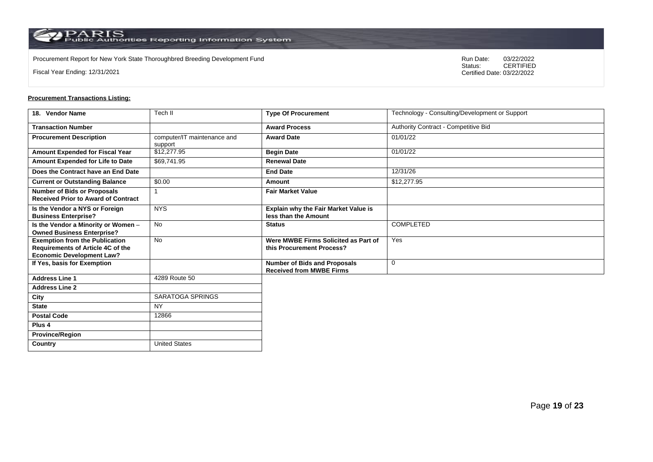Procurement Report for New York State Thoroughbred Breeding Development Fund<br>
Status:
CERTIFIED

Fiscal Year Ending: 12/31/2021

CERTIFIED Certified Date: 03/22/2022

#### **Procurement Transactions Listing:**

| 18. Vendor Name                                                                                                | Tech II                                | <b>Type Of Procurement</b>                                             | Technology - Consulting/Development or Support |
|----------------------------------------------------------------------------------------------------------------|----------------------------------------|------------------------------------------------------------------------|------------------------------------------------|
| <b>Transaction Number</b>                                                                                      |                                        | <b>Award Process</b>                                                   | Authority Contract - Competitive Bid           |
| <b>Procurement Description</b>                                                                                 | computer/IT maintenance and<br>support | <b>Award Date</b>                                                      | 01/01/22                                       |
| Amount Expended for Fiscal Year                                                                                | \$12,277.95                            | <b>Begin Date</b>                                                      | 01/01/22                                       |
| Amount Expended for Life to Date                                                                               | \$69,741.95                            | <b>Renewal Date</b>                                                    |                                                |
| Does the Contract have an End Date                                                                             |                                        | <b>End Date</b>                                                        | 12/31/26                                       |
| <b>Current or Outstanding Balance</b>                                                                          | \$0.00                                 | Amount                                                                 | \$12,277.95                                    |
| <b>Number of Bids or Proposals</b><br><b>Received Prior to Award of Contract</b>                               |                                        | <b>Fair Market Value</b>                                               |                                                |
| Is the Vendor a NYS or Foreign<br><b>Business Enterprise?</b>                                                  | <b>NYS</b>                             | Explain why the Fair Market Value is<br>less than the Amount           |                                                |
| Is the Vendor a Minority or Women -<br><b>Owned Business Enterprise?</b>                                       | <b>No</b>                              | <b>Status</b>                                                          | COMPLETED                                      |
| <b>Exemption from the Publication</b><br>Requirements of Article 4C of the<br><b>Economic Development Law?</b> | <b>No</b>                              | Were MWBE Firms Solicited as Part of<br>this Procurement Process?      | Yes                                            |
| If Yes, basis for Exemption                                                                                    |                                        | <b>Number of Bids and Proposals</b><br><b>Received from MWBE Firms</b> | $\mathbf 0$                                    |
| <b>Address Line 1</b>                                                                                          | 4289 Route 50                          |                                                                        |                                                |
| <b>Address Line 2</b>                                                                                          |                                        |                                                                        |                                                |
| City                                                                                                           | SARATOGA SPRINGS                       |                                                                        |                                                |
| <b>State</b>                                                                                                   | <b>NY</b>                              |                                                                        |                                                |
| <b>Postal Code</b>                                                                                             | 12866                                  |                                                                        |                                                |
| Plus <sub>4</sub>                                                                                              |                                        |                                                                        |                                                |
| <b>Province/Region</b>                                                                                         |                                        |                                                                        |                                                |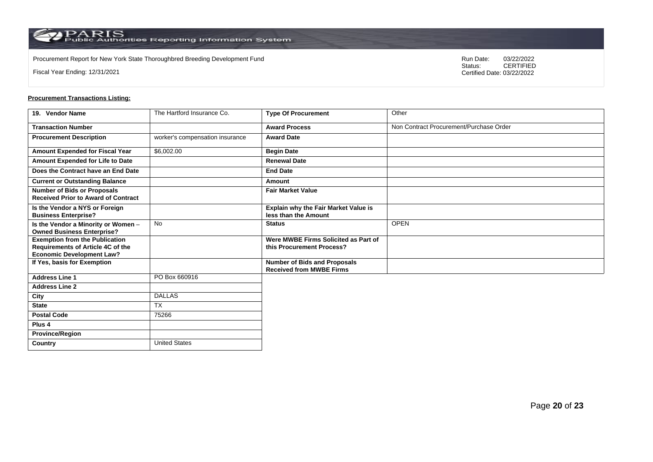Procurement Report for New York State Thoroughbred Breeding Development Fund<br>
Status:
CERTIFIED

Fiscal Year Ending: 12/31/2021

CERTIFIED Certified Date: 03/22/2022

#### **Procurement Transactions Listing:**

| 19. Vendor Name                                                                                                | The Hartford Insurance Co.      | <b>Type Of Procurement</b>                                             | Other                                   |
|----------------------------------------------------------------------------------------------------------------|---------------------------------|------------------------------------------------------------------------|-----------------------------------------|
| <b>Transaction Number</b>                                                                                      |                                 | <b>Award Process</b>                                                   | Non Contract Procurement/Purchase Order |
| <b>Procurement Description</b>                                                                                 | worker's compensation insurance | <b>Award Date</b>                                                      |                                         |
| Amount Expended for Fiscal Year                                                                                | \$6,002.00                      | <b>Begin Date</b>                                                      |                                         |
| Amount Expended for Life to Date                                                                               |                                 | <b>Renewal Date</b>                                                    |                                         |
| Does the Contract have an End Date                                                                             |                                 | <b>End Date</b>                                                        |                                         |
| <b>Current or Outstanding Balance</b>                                                                          |                                 | Amount                                                                 |                                         |
| <b>Number of Bids or Proposals</b><br><b>Received Prior to Award of Contract</b>                               |                                 | <b>Fair Market Value</b>                                               |                                         |
| Is the Vendor a NYS or Foreign<br><b>Business Enterprise?</b>                                                  |                                 | Explain why the Fair Market Value is<br>less than the Amount           |                                         |
| Is the Vendor a Minority or Women -<br><b>Owned Business Enterprise?</b>                                       | No                              | <b>Status</b>                                                          | <b>OPEN</b>                             |
| <b>Exemption from the Publication</b><br>Requirements of Article 4C of the<br><b>Economic Development Law?</b> |                                 | Were MWBE Firms Solicited as Part of<br>this Procurement Process?      |                                         |
| If Yes, basis for Exemption                                                                                    |                                 | <b>Number of Bids and Proposals</b><br><b>Received from MWBE Firms</b> |                                         |
| <b>Address Line 1</b>                                                                                          | PO Box 660916                   |                                                                        |                                         |
| <b>Address Line 2</b>                                                                                          |                                 |                                                                        |                                         |
| City                                                                                                           | <b>DALLAS</b>                   |                                                                        |                                         |
| <b>State</b>                                                                                                   | <b>TX</b>                       |                                                                        |                                         |
| <b>Postal Code</b>                                                                                             | 75266                           |                                                                        |                                         |
| Plus <sub>4</sub>                                                                                              |                                 |                                                                        |                                         |
| <b>Province/Region</b>                                                                                         |                                 |                                                                        |                                         |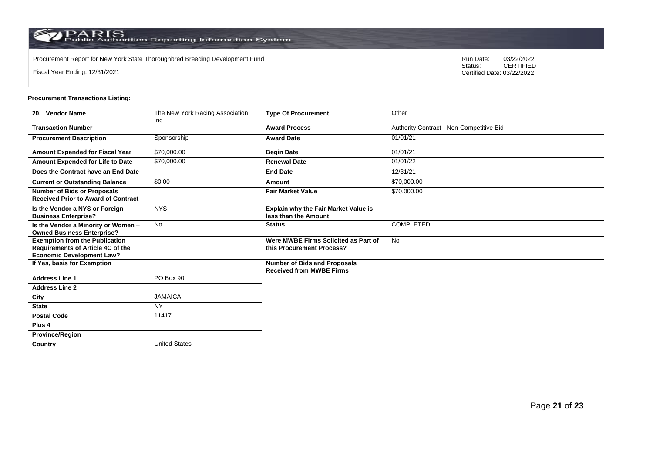Procurement Report for New York State Thoroughbred Breeding Development Fund<br>
Status:
CERTIFIED

Fiscal Year Ending: 12/31/2021

CERTIFIED Certified Date: 03/22/2022

# **Procurement Transactions Listing:**

| 20. Vendor Name                                                                                                | The New York Racing Association, | <b>Type Of Procurement</b>                                        | Other                                    |
|----------------------------------------------------------------------------------------------------------------|----------------------------------|-------------------------------------------------------------------|------------------------------------------|
|                                                                                                                | <b>Inc</b>                       |                                                                   |                                          |
| <b>Transaction Number</b>                                                                                      |                                  | <b>Award Process</b>                                              | Authority Contract - Non-Competitive Bid |
| <b>Procurement Description</b>                                                                                 | Sponsorship                      | <b>Award Date</b>                                                 | 01/01/21                                 |
| Amount Expended for Fiscal Year                                                                                | \$70,000.00                      | <b>Begin Date</b>                                                 | 01/01/21                                 |
| Amount Expended for Life to Date                                                                               | \$70,000.00                      | <b>Renewal Date</b>                                               | 01/01/22                                 |
| Does the Contract have an End Date                                                                             |                                  | <b>End Date</b>                                                   | 12/31/21                                 |
| <b>Current or Outstanding Balance</b>                                                                          | \$0.00                           | Amount                                                            | \$70,000.00                              |
| <b>Number of Bids or Proposals</b><br><b>Received Prior to Award of Contract</b>                               |                                  | <b>Fair Market Value</b>                                          | \$70,000.00                              |
| Is the Vendor a NYS or Foreign<br><b>Business Enterprise?</b>                                                  | <b>NYS</b>                       | Explain why the Fair Market Value is<br>less than the Amount      |                                          |
| Is the Vendor a Minority or Women -<br><b>Owned Business Enterprise?</b>                                       | <b>No</b>                        | <b>Status</b>                                                     | <b>COMPLETED</b>                         |
| <b>Exemption from the Publication</b><br>Requirements of Article 4C of the<br><b>Economic Development Law?</b> |                                  | Were MWBE Firms Solicited as Part of<br>this Procurement Process? | <b>No</b>                                |
| If Yes, basis for Exemption                                                                                    |                                  | Number of Bids and Proposals<br><b>Received from MWBE Firms</b>   |                                          |
| <b>Address Line 1</b>                                                                                          | PO Box 90                        |                                                                   |                                          |
| <b>Address Line 2</b>                                                                                          |                                  |                                                                   |                                          |
| City                                                                                                           | <b>JAMAICA</b>                   |                                                                   |                                          |
| <b>State</b>                                                                                                   | <b>NY</b>                        |                                                                   |                                          |
| <b>Postal Code</b>                                                                                             | 11417                            |                                                                   |                                          |
| Plus <sub>4</sub>                                                                                              |                                  |                                                                   |                                          |
| <b>Province/Region</b>                                                                                         |                                  |                                                                   |                                          |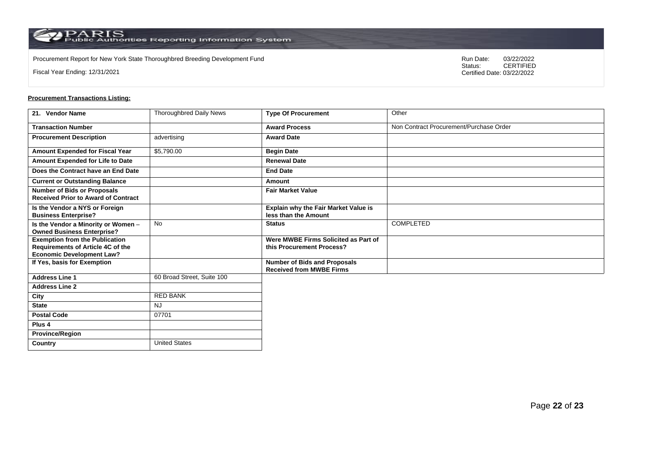Procurement Report for New York State Thoroughbred Breeding Development Fund<br>
Status:
CERTIFIED

Fiscal Year Ending: 12/31/2021

CERTIFIED Certified Date: 03/22/2022

#### **Procurement Transactions Listing:**

| 21. Vendor Name                                                                                                | <b>Thoroughbred Daily News</b> | <b>Type Of Procurement</b>                                             | Other                                   |
|----------------------------------------------------------------------------------------------------------------|--------------------------------|------------------------------------------------------------------------|-----------------------------------------|
| <b>Transaction Number</b>                                                                                      |                                | <b>Award Process</b>                                                   | Non Contract Procurement/Purchase Order |
| <b>Procurement Description</b>                                                                                 | advertising                    | <b>Award Date</b>                                                      |                                         |
| <b>Amount Expended for Fiscal Year</b>                                                                         | \$5,790.00                     | <b>Begin Date</b>                                                      |                                         |
| Amount Expended for Life to Date                                                                               |                                | <b>Renewal Date</b>                                                    |                                         |
| Does the Contract have an End Date                                                                             |                                | <b>End Date</b>                                                        |                                         |
| <b>Current or Outstanding Balance</b>                                                                          |                                | Amount                                                                 |                                         |
| <b>Number of Bids or Proposals</b><br><b>Received Prior to Award of Contract</b>                               |                                | <b>Fair Market Value</b>                                               |                                         |
| Is the Vendor a NYS or Foreign<br><b>Business Enterprise?</b>                                                  |                                | <b>Explain why the Fair Market Value is</b><br>less than the Amount    |                                         |
| Is the Vendor a Minority or Women -<br><b>Owned Business Enterprise?</b>                                       | No                             | <b>Status</b>                                                          | COMPLETED                               |
| <b>Exemption from the Publication</b><br>Requirements of Article 4C of the<br><b>Economic Development Law?</b> |                                | Were MWBE Firms Solicited as Part of<br>this Procurement Process?      |                                         |
| If Yes, basis for Exemption                                                                                    |                                | <b>Number of Bids and Proposals</b><br><b>Received from MWBE Firms</b> |                                         |
| <b>Address Line 1</b>                                                                                          | 60 Broad Street, Suite 100     |                                                                        |                                         |
| <b>Address Line 2</b>                                                                                          |                                |                                                                        |                                         |
| City                                                                                                           | <b>RED BANK</b>                |                                                                        |                                         |
| <b>State</b>                                                                                                   | <b>NJ</b>                      |                                                                        |                                         |
| <b>Postal Code</b>                                                                                             | 07701                          |                                                                        |                                         |
| Plus <sub>4</sub>                                                                                              |                                |                                                                        |                                         |
| <b>Province/Region</b>                                                                                         |                                |                                                                        |                                         |